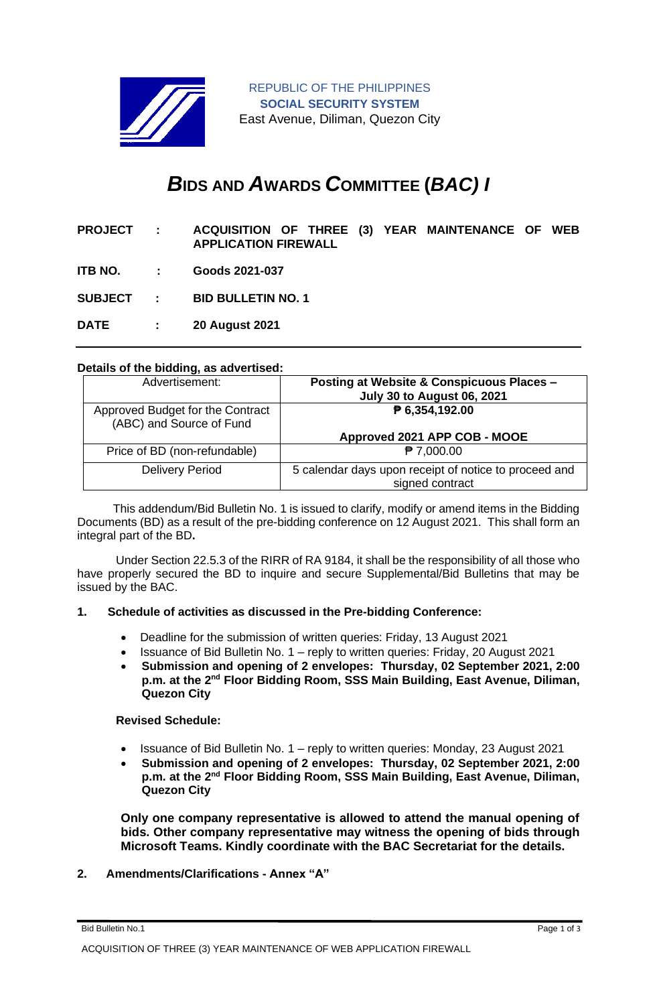

REPUBLIC OF THE PHILIPPINES **SOCIAL SECURITY SYSTEM** East Avenue, Diliman, Quezon City

# *B***IDS AND** *A***WARDS** *C***OMMITTEE (***BAC) I*

- **PROJECT : ACQUISITION OF THREE (3) YEAR MAINTENANCE OF WEB APPLICATION FIREWALL**
- **ITB NO. : Goods 2021-037**

**SUBJECT : BID BULLETIN NO. 1**

**DATE : 20 August 2021**

#### **Details of the bidding, as advertised:**

| Advertisement:                                               | Posting at Website & Conspicuous Places -<br><b>July 30 to August 06, 2021</b> |
|--------------------------------------------------------------|--------------------------------------------------------------------------------|
| Approved Budget for the Contract<br>(ABC) and Source of Fund | ₱ 6,354,192.00<br>Approved 2021 APP COB - MOOE                                 |
| Price of BD (non-refundable)                                 | $P$ 7,000.00                                                                   |
| <b>Delivery Period</b>                                       | 5 calendar days upon receipt of notice to proceed and<br>signed contract       |

 This addendum/Bid Bulletin No. 1 is issued to clarify, modify or amend items in the Bidding Documents (BD) as a result of the pre-bidding conference on 12 August 2021. This shall form an integral part of the BD**.**

Under Section 22.5.3 of the RIRR of RA 9184, it shall be the responsibility of all those who have properly secured the BD to inquire and secure Supplemental/Bid Bulletins that may be issued by the BAC.

#### **1. Schedule of activities as discussed in the Pre-bidding Conference:**

- Deadline for the submission of written queries: Friday, 13 August 2021
- Issuance of Bid Bulletin No. 1 reply to written queries: Friday, 20 August 2021
- **Submission and opening of 2 envelopes: Thursday, 02 September 2021, 2:00 p.m. at the 2nd Floor Bidding Room, SSS Main Building, East Avenue, Diliman, Quezon City**

#### **Revised Schedule:**

- Issuance of Bid Bulletin No. 1 reply to written queries: Monday, 23 August 2021
- **Submission and opening of 2 envelopes: Thursday, 02 September 2021, 2:00 p.m. at the 2nd Floor Bidding Room, SSS Main Building, East Avenue, Diliman, Quezon City**

**Only one company representative is allowed to attend the manual opening of bids. Other company representative may witness the opening of bids through Microsoft Teams. Kindly coordinate with the BAC Secretariat for the details.**

## **2. Amendments/Clarifications - Annex "A"**

Bid Bulletin No.1 Page 1 of 3

ACQUISITION OF THREE (3) YEAR MAINTENANCE OF WEB APPLICATION FIREWALL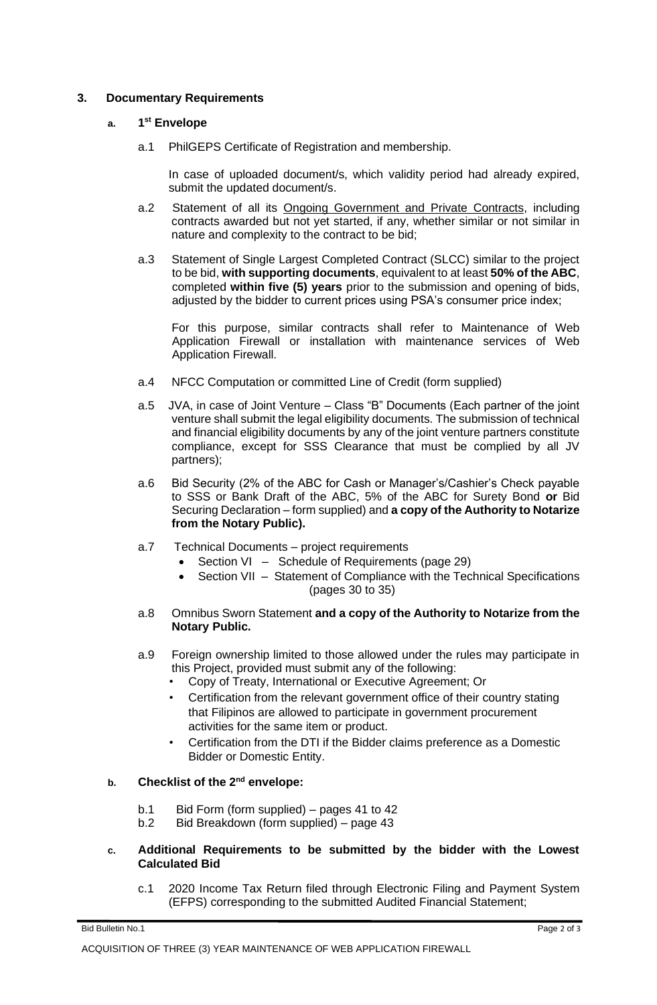## **3. Documentary Requirements**

### **a. 1 st Envelope**

a.1 PhilGEPS Certificate of Registration and membership.

In case of uploaded document/s, which validity period had already expired, submit the updated document/s.

- a.2 Statement of all its Ongoing Government and Private Contracts, including contracts awarded but not yet started, if any, whether similar or not similar in nature and complexity to the contract to be bid;
- a.3 Statement of Single Largest Completed Contract (SLCC) similar to the project to be bid, **with supporting documents**, equivalent to at least **50% of the ABC**, completed **within five (5) years** prior to the submission and opening of bids, adjusted by the bidder to current prices using PSA's consumer price index;

For this purpose, similar contracts shall refer to Maintenance of Web Application Firewall or installation with maintenance services of Web Application Firewall.

- a.4 NFCC Computation or committed Line of Credit (form supplied)
- a.5 JVA, in case of Joint Venture Class "B" Documents (Each partner of the joint venture shall submit the legal eligibility documents. The submission of technical and financial eligibility documents by any of the joint venture partners constitute compliance, except for SSS Clearance that must be complied by all JV partners);
- a.6 Bid Security (2% of the ABC for Cash or Manager's/Cashier's Check payable to SSS or Bank Draft of the ABC, 5% of the ABC for Surety Bond **or** Bid Securing Declaration – form supplied) and **a copy of the Authority to Notarize from the Notary Public).**
- a.7 Technical Documents project requirements
	- Section VI Schedule of Requirements (page 29)
	- Section VII Statement of Compliance with the Technical Specifications (pages 30 to 35)
- a.8 Omnibus Sworn Statement **and a copy of the Authority to Notarize from the Notary Public.**
- a.9 Foreign ownership limited to those allowed under the rules may participate in this Project, provided must submit any of the following:
	- Copy of Treaty, International or Executive Agreement; Or
	- Certification from the relevant government office of their country stating that Filipinos are allowed to participate in government procurement activities for the same item or product.
	- Certification from the DTI if the Bidder claims preference as a Domestic Bidder or Domestic Entity.

## **b. Checklist of the 2nd envelope:**

- b.1 Bid Form (form supplied) pages 41 to 42
- b.2 Bid Breakdown (form supplied) page 43
- **c. Additional Requirements to be submitted by the bidder with the Lowest Calculated Bid**
	- c.1 2020 Income Tax Return filed through Electronic Filing and Payment System (EFPS) corresponding to the submitted Audited Financial Statement;